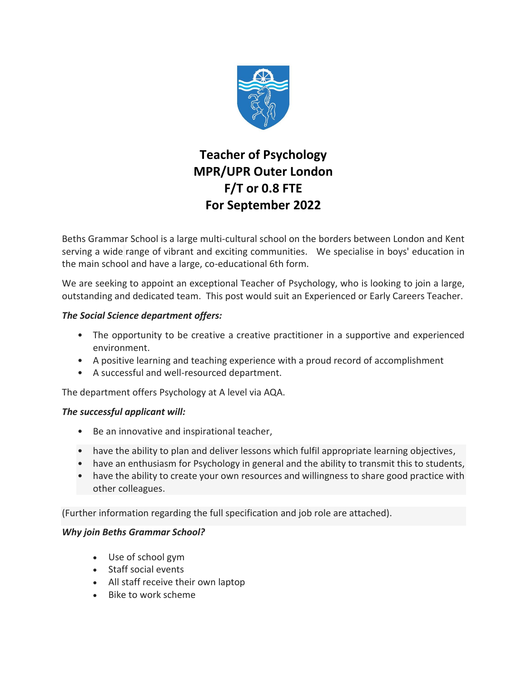

## **Teacher of Psychology MPR/UPR Outer London F/T or 0.8 FTE For September 2022**

Beths Grammar School is a large multi-cultural school on the borders between London and Kent serving a wide range of vibrant and exciting communities. We specialise in boys' education in the main school and have a large, co-educational 6th form.

We are seeking to appoint an exceptional Teacher of Psychology, who is looking to join a large, outstanding and dedicated team. This post would suit an Experienced or Early Careers Teacher.

## *The Social Science department offers:*

- The opportunity to be creative a creative practitioner in a supportive and experienced environment.
- A positive learning and teaching experience with a proud record of accomplishment
- A successful and well-resourced department.

The department offers Psychology at A level via AQA.

## *The successful applicant will:*

- Be an innovative and inspirational teacher,
- have the ability to plan and deliver lessons which fulfil appropriate learning objectives,
- have an enthusiasm for Psychology in general and the ability to transmit this to students,
- have the ability to create your own resources and willingness to share good practice with other colleagues.

(Further information regarding the full specification and job role are attached).

## *Why join Beths Grammar School?*

- Use of school gym
- Staff social events
- All staff receive their own laptop
- Bike to work scheme